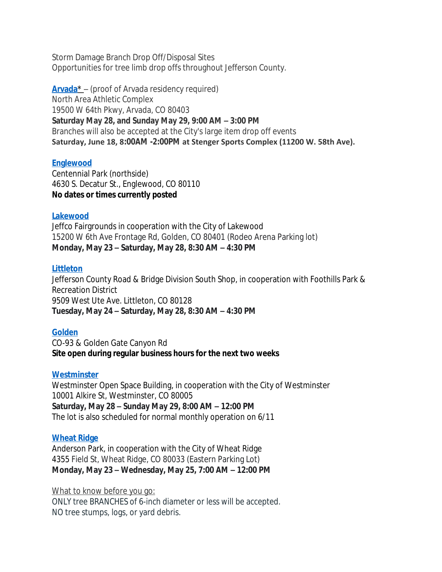Storm Damage Branch Drop Off/Disposal Sites Opportunities for tree limb drop offs throughout Jefferson County.

**[Arvada\\*](https://arvada.org/about/news-events/press-releases/tree-limb-disposal?utm_campaign=coschedule&utm_source=twitter&utm_medium=cityofarvada)** – (proof of Arvada residency required) North Area Athletic Complex 19500 W 64th Pkwy, Arvada, CO 80403 **Saturday May 28, and Sunday May 29, 9:00 AM – 3:00 PM** Branches will also be accepted at the City's large item drop off events **Saturday, June 18, 8:00AM -2:00PM at Stenger Sports Complex (11200 W. 58th Ave).**

## **[Englewood](https://www.englewoodco.gov/Home/Components/News/News/5743/21)**

Centennial Park (northside) 4630 S. Decatur St., Englewood, CO 80110 **No dates or times currently posted**

## **[Lakewood](https://www.lakewood.org/Government/Departments/City-Managers-Office/Communications/Lakewood-tree-limb-drop-off)**

Jeffco Fairgrounds in cooperation with the City of Lakewood 15200 W 6th Ave Frontage Rd, Golden, CO 80401 (Rodeo Arena Parking lot) **Monday, May 23 – Saturday, May 28, 8:30 AM – 4:30 PM**

## **[Littleton](https://www.jeffco.us/2493/Slash-Collection)**

Jefferson County Road & Bridge Division South Shop, in cooperation with Foothills Park & Recreation District 9509 West Ute Ave. Littleton, CO 80128 **Tuesday, May 24 – Saturday, May 28, 8:30 AM – 4:30 PM**

# **[Golden](https://www.cityofgolden.net/event/tree-limb-drop-off-event/)**

CO-93 & Golden Gate Canyon Rd **Site open during regular business hours for the next two weeks**

# **[Westminster](https://www.cityofwestminster.us/Residents/TrashRecycling/Recycling/TreeLimbRecycling)**

Westminster Open Space Building, in cooperation with the City of Westminster 10001 Alkire St, Westminster, CO 80005 **Saturday, May 28 – Sunday May 29, 8:00 AM – 12:00 PM** The lot is also scheduled for normal monthly operation on 6/11

# **[Wheat Ridge](https://www.ci.wheatridge.co.us/CivicAlerts.aspx?AID=2935)**

Anderson Park, in cooperation with the City of Wheat Ridge 4355 Field St, Wheat Ridge, CO 80033 (Eastern Parking Lot) **Monday, May 23 – Wednesday, May 25, 7:00 AM – 12:00 PM**

# What to know before you go:

ONLY tree BRANCHES of 6-inch diameter or less will be accepted. NO tree stumps, logs, or yard debris.